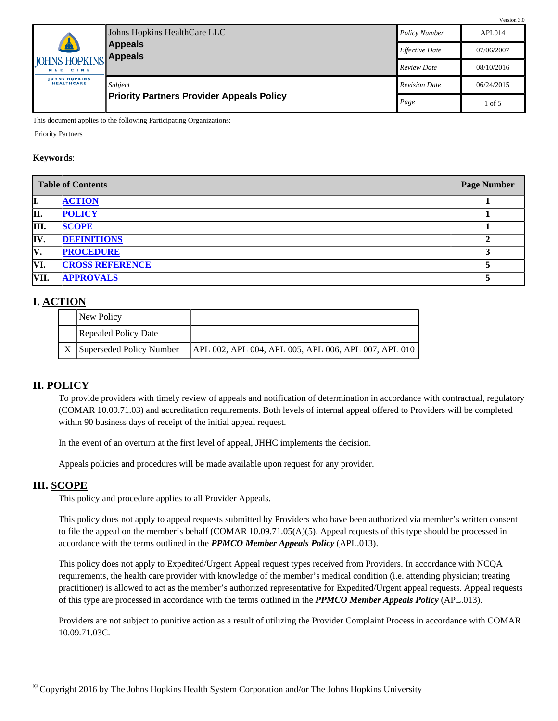|                                           | Johns Hopkins HealthCare LLC                                | <b>Policy Number</b>  | APLO14     |
|-------------------------------------------|-------------------------------------------------------------|-----------------------|------------|
| $\bullet$                                 | <b>Appeals</b>                                              | <b>Effective Date</b> | 07/06/2007 |
| JOHNS HOPKINS Appeals<br>MEDICINE         |                                                             | <b>Review Date</b>    | 08/10/2016 |
| <b>JOHNS HOPKINS</b><br><b>HEALTHCARE</b> | Subject<br><b>Priority Partners Provider Appeals Policy</b> | <b>Revision Date</b>  | 06/24/2015 |
|                                           |                                                             | Page                  | 1 of 5     |

This document applies to the following Participating Organizations:

Priority Partners

#### **Keywords**:

| <b>Table of Contents</b> |                        | <b>Page Number</b> |
|--------------------------|------------------------|--------------------|
| I.                       | <b>ACTION</b>          |                    |
| II.                      | <b>POLICY</b>          |                    |
| III.                     | <b>SCOPE</b>           |                    |
| IV.                      | <b>DEFINITIONS</b>     |                    |
| IV.                      | <b>PROCEDURE</b>       |                    |
| VI.                      | <b>CROSS REFERENCE</b> |                    |
| VII.                     | <b>APPROVALS</b>       |                    |

#### <span id="page-0-0"></span>**I. ACTION**

| New Policy                  |                                                      |
|-----------------------------|------------------------------------------------------|
| <b>Repealed Policy Date</b> |                                                      |
| Superseded Policy Number    | APL 002, APL 004, APL 005, APL 006, APL 007, APL 010 |

#### <span id="page-0-1"></span>**II. POLICY**

To provide providers with timely review of appeals and notification of determination in accordance with contractual, regulatory (COMAR 10.09.71.03) and accreditation requirements. Both levels of internal appeal offered to Providers will be completed within 90 business days of receipt of the initial appeal request.

In the event of an overturn at the first level of appeal, JHHC implements the decision.

Appeals policies and procedures will be made available upon request for any provider.

#### <span id="page-0-2"></span>**III. SCOPE**

This policy and procedure applies to all Provider Appeals.

This policy does not apply to appeal requests submitted by Providers who have been authorized via member's written consent to file the appeal on the member's behalf (COMAR 10.09.71.05(A)(5). Appeal requests of this type should be processed in accordance with the terms outlined in the *PPMCO Member Appeals Policy* (APL.013).

This policy does not apply to Expedited/Urgent Appeal request types received from Providers. In accordance with NCQA requirements, the health care provider with knowledge of the member's medical condition (i.e. attending physician; treating practitioner) is allowed to act as the member's authorized representative for Expedited/Urgent appeal requests. Appeal requests of this type are processed in accordance with the terms outlined in the *PPMCO Member Appeals Policy* (APL.013).

Providers are not subject to punitive action as a result of utilizing the Provider Complaint Process in accordance with COMAR 10.09.71.03C.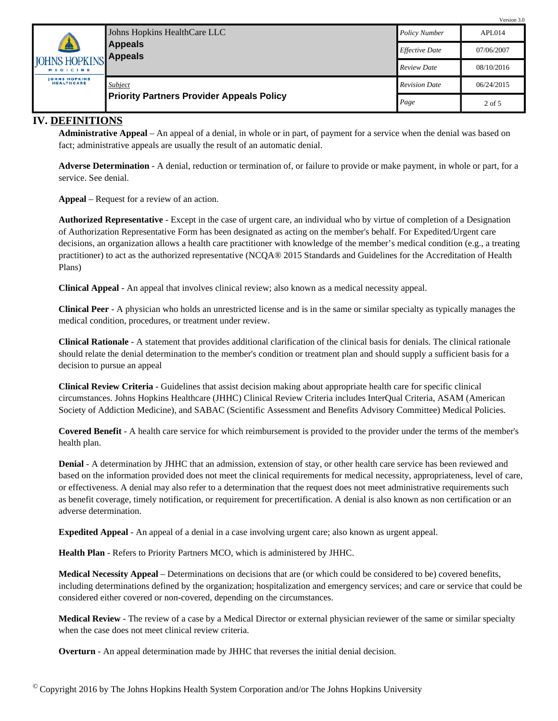|                                           | Johns Hopkins HealthCare LLC<br><b>Appeals</b><br><b>Appeals</b> | <b>Policy Number</b>  | APLO14     |
|-------------------------------------------|------------------------------------------------------------------|-----------------------|------------|
| $\bullet$                                 |                                                                  | <b>Effective Date</b> | 07/06/2007 |
| <b>JOHNS HOPKINS</b><br>MEDICINE          |                                                                  | <b>Review Date</b>    | 08/10/2016 |
| <b>JOHNS HOPKINS</b><br><b>HEALTHCARE</b> | Subject                                                          | <b>Revision Date</b>  | 06/24/2015 |
|                                           | <b>Priority Partners Provider Appeals Policy</b>                 | Page                  | 2 of 5     |

### <span id="page-1-0"></span>**IV. DEFINITIONS**

**Administrative Appeal** – An appeal of a denial, in whole or in part, of payment for a service when the denial was based on fact; administrative appeals are usually the result of an automatic denial.

**Adverse Determination** - A denial, reduction or termination of, or failure to provide or make payment, in whole or part, for a service. See denial.

**Appeal** – Request for a review of an action.

**Authorized Representative** - Except in the case of urgent care, an individual who by virtue of completion of a Designation of Authorization Representative Form has been designated as acting on the member's behalf. For Expedited/Urgent care decisions, an organization allows a health care practitioner with knowledge of the member's medical condition (e.g., a treating practitioner) to act as the authorized representative (NCQA® 2015 Standards and Guidelines for the Accreditation of Health Plans)

**Clinical Appeal** - An appeal that involves clinical review; also known as a medical necessity appeal.

**Clinical Peer** - A physician who holds an unrestricted license and is in the same or similar specialty as typically manages the medical condition, procedures, or treatment under review.

**Clinical Rationale** - A statement that provides additional clarification of the clinical basis for denials. The clinical rationale should relate the denial determination to the member's condition or treatment plan and should supply a sufficient basis for a decision to pursue an appeal

**Clinical Review Criteria** - Guidelines that assist decision making about appropriate health care for specific clinical circumstances. Johns Hopkins Healthcare (JHHC) Clinical Review Criteria includes InterQual Criteria, ASAM (American Society of Addiction Medicine), and SABAC (Scientific Assessment and Benefits Advisory Committee) Medical Policies.

**Covered Benefit** - A health care service for which reimbursement is provided to the provider under the terms of the member's health plan.

**Denial** - A determination by JHHC that an admission, extension of stay, or other health care service has been reviewed and based on the information provided does not meet the clinical requirements for medical necessity, appropriateness, level of care, or effectiveness. A denial may also refer to a determination that the request does not meet administrative requirements such as benefit coverage, timely notification, or requirement for precertification. A denial is also known as non certification or an adverse determination.

**Expedited Appeal** - An appeal of a denial in a case involving urgent care; also known as urgent appeal.

**Health Plan** - Refers to Priority Partners MCO, which is administered by JHHC.

**Medical Necessity Appeal** – Determinations on decisions that are (or which could be considered to be) covered benefits, including determinations defined by the organization; hospitalization and emergency services; and care or service that could be considered either covered or non-covered, depending on the circumstances.

**Medical Review** - The review of a case by a Medical Director or external physician reviewer of the same or similar specialty when the case does not meet clinical review criteria.

**Overturn** - An appeal determination made by JHHC that reverses the initial denial decision.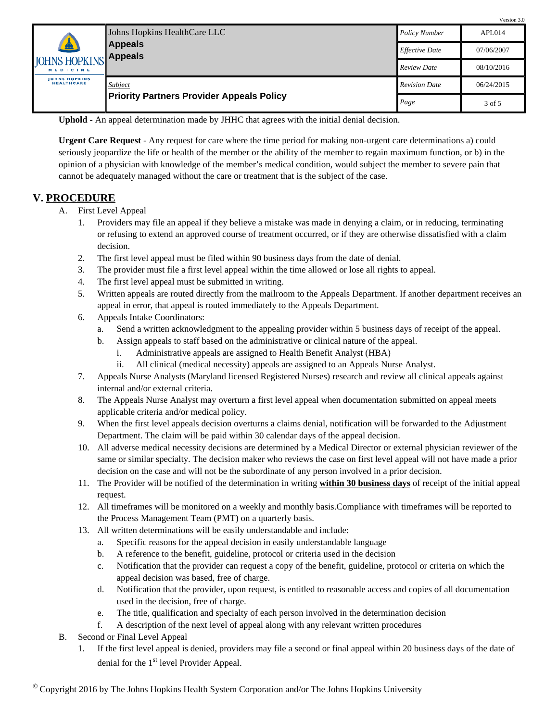|                                           | Johns Hopkins HealthCare LLC<br><b>Appeals</b><br>$\bullet$<br><b>IOHNS HOPKINS Appeals</b> | <b>Policy Number</b>  | APL014     |
|-------------------------------------------|---------------------------------------------------------------------------------------------|-----------------------|------------|
|                                           |                                                                                             | <b>Effective Date</b> | 07/06/2007 |
| MEDICINE                                  |                                                                                             | <b>Review Date</b>    | 08/10/2016 |
| <b>JOHNS HOPKINS</b><br><b>HEALTHCARE</b> | Subject                                                                                     | <b>Revision Date</b>  | 06/24/2015 |
|                                           | <b>Priority Partners Provider Appeals Policy</b>                                            | Page                  | 3 of 5     |

**Uphold** - An appeal determination made by JHHC that agrees with the initial denial decision.

**Urgent Care Request** - Any request for care where the time period for making non-urgent care determinations a) could seriously jeopardize the life or health of the member or the ability of the member to regain maximum function, or b) in the opinion of a physician with knowledge of the member's medical condition, would subject the member to severe pain that cannot be adequately managed without the care or treatment that is the subject of the case.

### <span id="page-2-0"></span>**V. PROCEDURE**

- A. First Level Appeal
	- 1. Providers may file an appeal if they believe a mistake was made in denying a claim, or in reducing, terminating or refusing to extend an approved course of treatment occurred, or if they are otherwise dissatisfied with a claim decision.
	- 2. The first level appeal must be filed within 90 business days from the date of denial.
	- 3. The provider must file a first level appeal within the time allowed or lose all rights to appeal.
	- 4. The first level appeal must be submitted in writing.
	- 5. Written appeals are routed directly from the mailroom to the Appeals Department. If another department receives an appeal in error, that appeal is routed immediately to the Appeals Department.
	- 6. Appeals Intake Coordinators:
		- a. Send a written acknowledgment to the appealing provider within 5 business days of receipt of the appeal.
		- b. Assign appeals to staff based on the administrative or clinical nature of the appeal.
			- i. Administrative appeals are assigned to Health Benefit Analyst (HBA)
			- ii. All clinical (medical necessity) appeals are assigned to an Appeals Nurse Analyst.
	- 7. Appeals Nurse Analysts (Maryland licensed Registered Nurses) research and review all clinical appeals against internal and/or external criteria.
	- 8. The Appeals Nurse Analyst may overturn a first level appeal when documentation submitted on appeal meets applicable criteria and/or medical policy.
	- 9. When the first level appeals decision overturns a claims denial, notification will be forwarded to the Adjustment Department. The claim will be paid within 30 calendar days of the appeal decision.
	- 10. All adverse medical necessity decisions are determined by a Medical Director or external physician reviewer of the same or similar specialty. The decision maker who reviews the case on first level appeal will not have made a prior decision on the case and will not be the subordinate of any person involved in a prior decision.
	- 11. The Provider will be notified of the determination in writing **within 30 business days** of receipt of the initial appeal request.
	- 12. All timeframes will be monitored on a weekly and monthly basis.Compliance with timeframes will be reported to the Process Management Team (PMT) on a quarterly basis.
	- 13. All written determinations will be easily understandable and include:
		- a. Specific reasons for the appeal decision in easily understandable language
		- b. A reference to the benefit, guideline, protocol or criteria used in the decision
		- c. Notification that the provider can request a copy of the benefit, guideline, protocol or criteria on which the appeal decision was based, free of charge.
		- d. Notification that the provider, upon request, is entitled to reasonable access and copies of all documentation used in the decision, free of charge.
		- e. The title, qualification and specialty of each person involved in the determination decision
		- f. A description of the next level of appeal along with any relevant written procedures
- B. Second or Final Level Appeal
	- 1. If the first level appeal is denied, providers may file a second or final appeal within 20 business days of the date of denial for the 1<sup>st</sup> level Provider Appeal.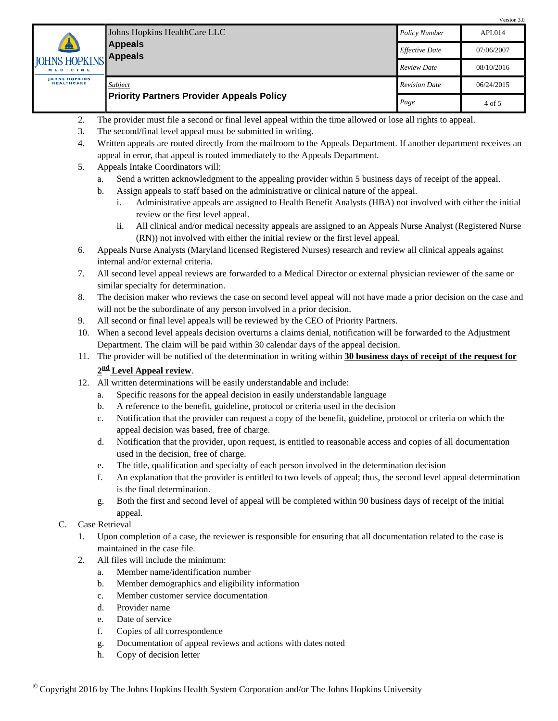|                                           |                                                             |                       | $V = 510H - 3.0$ |
|-------------------------------------------|-------------------------------------------------------------|-----------------------|------------------|
|                                           | Johns Hopkins HealthCare LLC<br><b>Appeals</b><br>Appeals   | <b>Policy Number</b>  | APL014           |
| $\triangle$                               |                                                             | <b>Effective Date</b> | 07/06/2007       |
| <b>JOHNS HOPKINS</b><br>MEDICINE          |                                                             | <b>Review Date</b>    | 08/10/2016       |
| <b>JOHNS HOPKINS</b><br><b>HEALTHCARE</b> | Subject<br><b>Priority Partners Provider Appeals Policy</b> | <b>Revision Date</b>  | 06/24/2015       |
|                                           |                                                             | Page                  | 4 of 5           |

- 2. The provider must file a second or final level appeal within the time allowed or lose all rights to appeal.
- 3. The second/final level appeal must be submitted in writing.
- 4. Written appeals are routed directly from the mailroom to the Appeals Department. If another department receives an appeal in error, that appeal is routed immediately to the Appeals Department.
- 5. Appeals Intake Coordinators will:
	- a. Send a written acknowledgment to the appealing provider within 5 business days of receipt of the appeal.
	- b. Assign appeals to staff based on the administrative or clinical nature of the appeal.
		- i. Administrative appeals are assigned to Health Benefit Analysts (HBA) not involved with either the initial review or the first level appeal.

- ii. All clinical and/or medical necessity appeals are assigned to an Appeals Nurse Analyst (Registered Nurse (RN)) not involved with either the initial review or the first level appeal.
- 6. Appeals Nurse Analysts (Maryland licensed Registered Nurses) research and review all clinical appeals against internal and/or external criteria.
- 7. All second level appeal reviews are forwarded to a Medical Director or external physician reviewer of the same or similar specialty for determination.
- 8. The decision maker who reviews the case on second level appeal will not have made a prior decision on the case and will not be the subordinate of any person involved in a prior decision.
- 9. All second or final level appeals will be reviewed by the CEO of Priority Partners.
- 10. When a second level appeals decision overturns a claims denial, notification will be forwarded to the Adjustment Department. The claim will be paid within 30 calendar days of the appeal decision.
- 11. The provider will be notified of the determination in writing within **30 business days of receipt of the request for**

# **2 nd Level Appeal review**.

- 12. All written determinations will be easily understandable and include:
	- a. Specific reasons for the appeal decision in easily understandable language
	- b. A reference to the benefit, guideline, protocol or criteria used in the decision
	- c. Notification that the provider can request a copy of the benefit, guideline, protocol or criteria on which the appeal decision was based, free of charge.
	- d. Notification that the provider, upon request, is entitled to reasonable access and copies of all documentation used in the decision, free of charge.
	- e. The title, qualification and specialty of each person involved in the determination decision
	- f. An explanation that the provider is entitled to two levels of appeal; thus, the second level appeal determination is the final determination.
	- g. Both the first and second level of appeal will be completed within 90 business days of receipt of the initial appeal.
- C. Case Retrieval
	- 1. Upon completion of a case, the reviewer is responsible for ensuring that all documentation related to the case is maintained in the case file.
	- 2. All files will include the minimum:
		- a. Member name/identification number
		- b. Member demographics and eligibility information
		- c. Member customer service documentation
		- d. Provider name
		- e. Date of service
		- f. Copies of all correspondence
		- g. Documentation of appeal reviews and actions with dates noted
		- h. Copy of decision letter